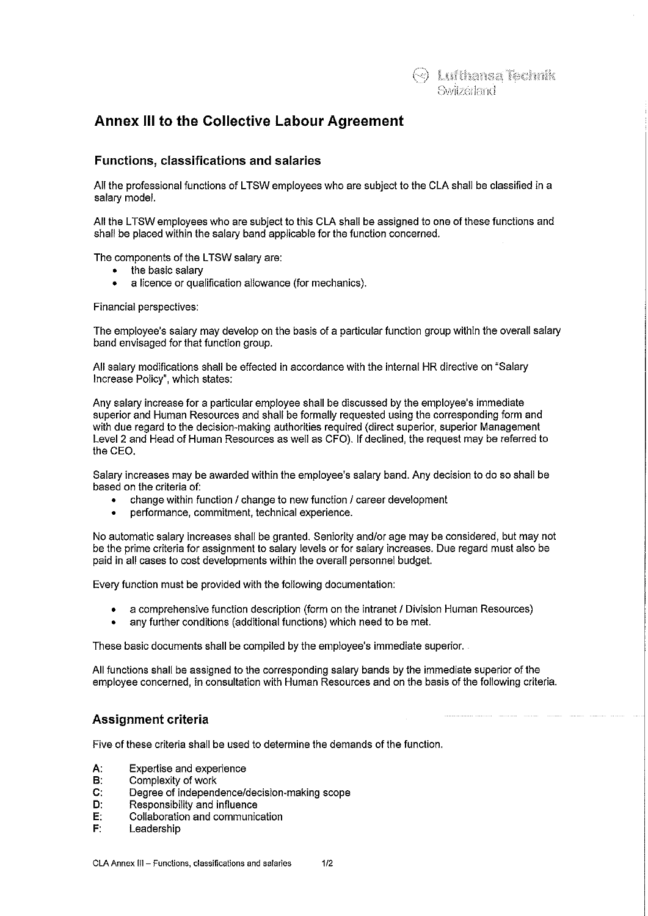# **Annex 111 to the Collective Labour Agreement**

## **Functions, classifications and salaries**

All the professional functions of LTSW employees who are subject to the CLA shall be classified in a salary model.

All the LTSW employees who are subject to this CLA shall be assigned to one of these functions and shall be placed within the salary band applicable for the function concerned.

The components of the LTSW salary are:

- the basic salary<br>•  $\overline{a}$  licence or qua
- a licence or qualification allowance (for mechanics).

Financial perspectives:

The employee's salary may develop on the basis of a particular function group within the overall salary band envisaged for that function group.

All salary modifications shall be effected in accordance with the internal HR directive on "Salary Increase Policy", which states:

Any salary increase for a particular employee shall be discussed by the employee's immediate superior and Human Resources and shall be formally requested using the corresponding form and with due regard to the decision-making authorities required (direct superior, superior Management Level 2 and Head of Human Resources as weil as CFO). If declined, the request may be referred 10 the CEO.

Salary increases may be awarded within the employee's salary band. Any decision to do so shall be based on the criteria of:

- change within function / change to new function / career development
- performance, commitment, technical experience.

No automatic salary increases shall be granted. Seniority and/or age may be considered, but may not be the prime criteria for assignment to salary levels or for salary increases. Due regard must also be paid in all cases to cost developments within the overall personnel budget.

Every function must be provided with the following documentation:

- a comprehensive function description (form on the intranet I Division Human Resources)
- any further conditions (additional functions) which need to be met.

These basic documents shall be compiled by the employee's immediate superior.

All functions shall be assigned to the corresponding salary bands by the immediate superior of the employee concerned, in consultation with Human Resources and on the basis of the following criteria.

## **Assignment criteria**

Five of these criteria shall be used to determine the demands of the function.

- A: Expertise and experience<br>B: Complexity of work
- Complexity of work
- C: Degree of independence/decision-making scope
- D: Responsibility and influence
- E: Collaboration and communication<br>F: Leadership
- Leadership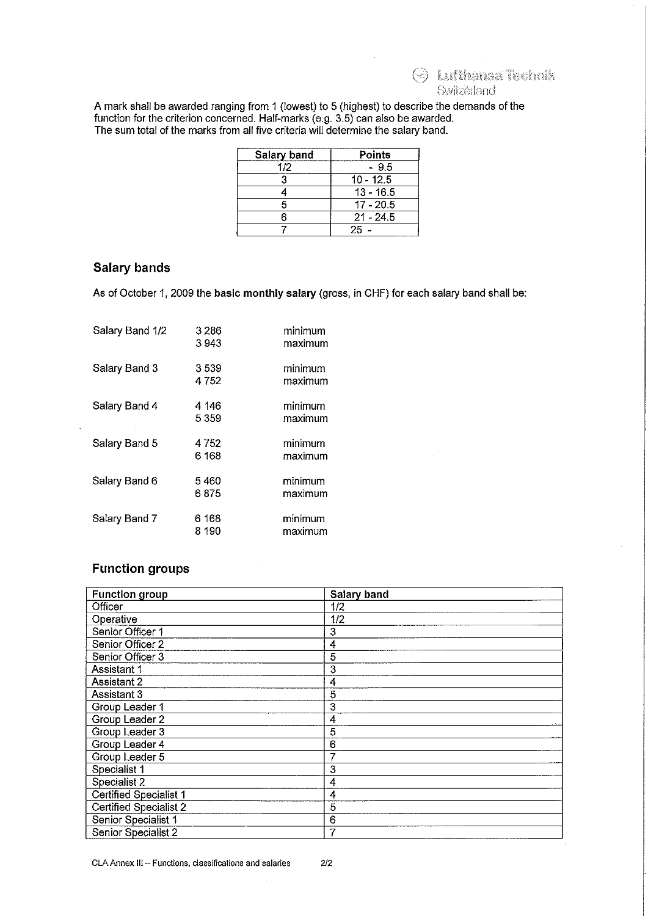O Luitane Termit Switzerland

A mark shall be awarded ranging from 1 (lowest) to 5 (highest) to describe the demands of the function for the criterion concerned. Half-marks (e.g. 3.5) can also be awarded. The sum total of the marks from all five criteria will determine the salary band.

| Salary band | Points      |
|-------------|-------------|
| 112         | - 9.5       |
|             | $10 - 12.5$ |
|             | $13 - 16.5$ |
|             | $17 - 20.5$ |
|             | $21 - 245$  |
|             | 25          |

#### **Salary bands**

As of October 1, 2009 the basic monthly salary (gross, in CHF) for each salary band shall be:

| Salary Band 1/2 | 3 2 8 6<br>3 943 | minimum<br>maximum |
|-----------------|------------------|--------------------|
| Salary Band 3   | 3539<br>4752     | minimum<br>maximum |
| Salary Band 4   | 4 146<br>5 359   | minimum<br>maximum |
| Salary Band 5   | 4752<br>6 168    | minimum<br>maximum |
| Salary Band 6   | 5 460<br>6875    | minimum<br>maximum |
| Salary Band 7   | 6 168<br>8 190   | minimum<br>maximum |

# **Function groups**

| <b>Function group</b>         | Salary band    |
|-------------------------------|----------------|
| Officer                       | 1/2            |
| Operative                     | 1/2            |
| Senior Officer 1              | 3              |
| Senior Officer 2              | 4              |
| Senior Officer 3              | 5              |
| Assistant 1                   | 3              |
| Assistant 2                   | 4              |
| Assistant 3                   | 5              |
| Group Leader 1                | 3              |
| Group Leader 2                | 4              |
| Group Leader 3                | 5              |
| Group Leader 4                | 6              |
| Group Leader 5                | 7              |
| Specialist 1                  | 3              |
| Specialist 2                  | 4              |
| <b>Certified Specialist 1</b> | 4              |
| <b>Certified Specialist 2</b> | $\overline{5}$ |
| Senior Specialist 1           | 6              |
| Senior Specialist 2           | 7              |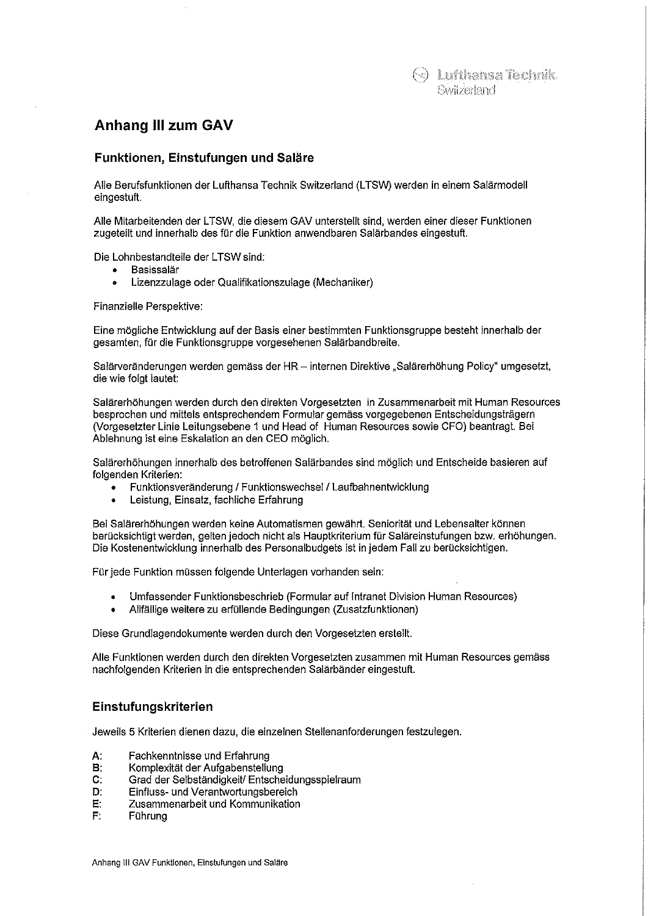# **Anhang III zum GAV**

### **Funktionen, Einstufungen und Saläre**

Alle Berufsfunktionen der Lufthansa Technik Switzerland (L TSW) werden in einem Salärmodell eingestuft.

Alle Mitarbeitenden der LTSW, die diesem GAV unterstellt sind, werden einer dieser Funktionen zugeteilt und innerhalb des für die Funktion anwendbaren Salärbandes eingestuft.

Die Lohnbestandteile der LTSW sind:

- Basissalär
- Lizenzzulage oder Qualifikationszulage (Mechaniker)

Finanzielle Perspektive:

Eine mögliche Entwicklung auf der Basis einer bestimmten Funktionsgruppe besteht innerhalb der gesamten, für die Funktionsgruppe vorgesehenen Salärbandbreite.

Salärveränderungen werden gemäss der HR - internen Direktive "Salärerhöhung Policy" umgesetzt, die wie folgt lautet:

Salärerhöhungen werden durch den direkten Vorgesetzten in Zusammenarbeit mit Human Resources besprochen und mittels entsprechendem Formular gemäss vorgegebenen Entscheidungsträgern (Vorgesetzter Linie Leitungsebene 1 und Head of Human Resources sowie CFO) beantragt Bei Ablehnung ist eine Eskalation an den CEO möglich.

Salärerhöhungen innerhalb des betroffenen Salärbandes sind möglich und Entscheide basieren auf folgenden Kriterien:

- Funktionsveränderung / Funktionswechsel / Laufbahnentwicklung
- Leistung, Einsatz, fachliche Erfahrung

Bei Salärerhöhungen werden keine Automatismen gewährt. Seniorität und Lebensalter können berücksichtigt werden, gelten jedoch nicht als Hauptkriterium für Saläreinstufungen bzw. erhöhungen. Die Kostenentwicklung innerhalb des Personalbudgets ist in jedem Fall zu berücksichtigen.

Für jede Funktion müssen folgende Unterlagen vorhanden sein:

- Umfassender Funktionsbeschrieb (Formular auf Intranet Division Human Resources)
- Allfällige weitere zu erfüllende Bedingungen (Zusatzfunktionen)

Diese Grundlagendokumente werden durch den Vorgesetzten erstellt

Alle Funktionen werden durch den direkten Vorgesetzten zusammen mit Human Resources gemäss nachfolgenden Kriterien in die entsprechenden Salärbänder eingestuft.

### **Einstufungskriterien**

Jeweils 5 Kriterien dienen dazu, die einzelnen Stellenanforderungen festzulegen.

- A: Fachkenntnisse und Erfahrung<br>B: Komplexität der Aufgabenstellu
- B: Komplexität der Aufgabenstellung<br>C: Grad der Selbständigkeit/ Entsche
- C: Grad der Selbständigkeit/ Entscheidungsspielraum<br>D: Einfluss- und Verantwortungsbereich
- D: Einfluss- und Verantwortungsbereich<br>E: Zusammenarbeit und Kommunikation
- E: Zusammenarbeit und Kommunikation
- **Führung**